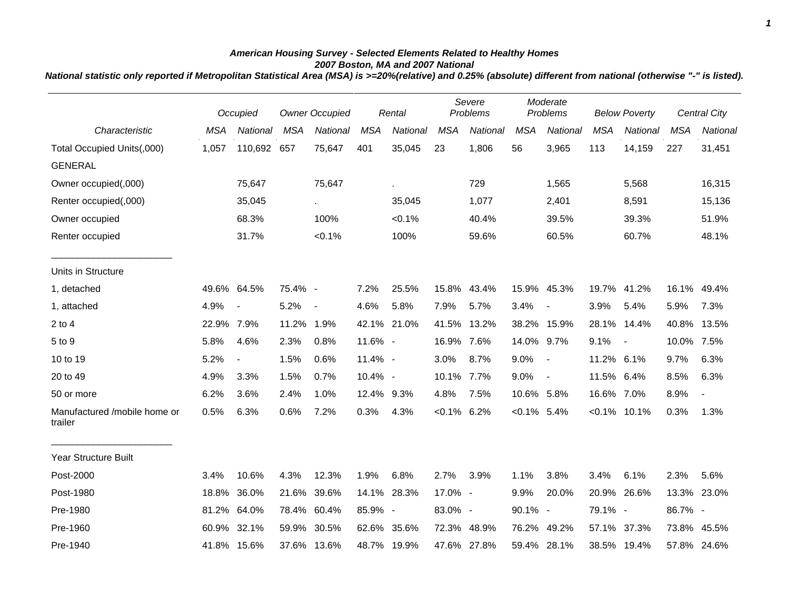## *American Housing Survey - Selected Elements Related to Healthy Homes 2007 Boston, MA and 2007 National*

*National statistic only reported if Metropolitan Statistical Area (MSA) is >=20%(relative) and 0.25% (absolute) different from national (otherwise "-" is listed).*

|                                         | Occupied   |                          | <b>Owner Occupied</b> |                          | Rental     |             | Severe<br>Problems |             | Moderate<br>Problems |                          | <b>Below Poverty</b> |                |            | <b>Central City</b> |
|-----------------------------------------|------------|--------------------------|-----------------------|--------------------------|------------|-------------|--------------------|-------------|----------------------|--------------------------|----------------------|----------------|------------|---------------------|
| Characteristic                          | <b>MSA</b> | National                 | <b>MSA</b>            | National                 | <b>MSA</b> | National    | <b>MSA</b>         | National    | <b>MSA</b>           | National                 | <b>MSA</b>           | National       | <b>MSA</b> | National            |
| Total Occupied Units(,000)              | 1,057      | 110,692 657              |                       | 75,647                   | 401        | 35,045      | 23                 | 1,806       | 56                   | 3,965                    | 113                  | 14,159         | 227        | 31,451              |
| <b>GENERAL</b>                          |            |                          |                       |                          |            |             |                    |             |                      |                          |                      |                |            |                     |
| Owner occupied(,000)                    |            | 75,647                   |                       | 75,647                   |            | ä,          |                    | 729         |                      | 1,565                    |                      | 5,568          |            | 16,315              |
| Renter occupied(,000)                   |            | 35,045                   |                       | $\sim$                   |            | 35,045      |                    | 1,077       |                      | 2,401                    |                      | 8,591          |            | 15,136              |
| Owner occupied                          |            | 68.3%                    |                       | 100%                     |            | $< 0.1\%$   |                    | 40.4%       |                      | 39.5%                    |                      | 39.3%          |            | 51.9%               |
| Renter occupied                         |            | 31.7%                    |                       | $< 0.1\%$                |            | 100%        |                    | 59.6%       |                      | 60.5%                    |                      | 60.7%          |            | 48.1%               |
| Units in Structure                      |            |                          |                       |                          |            |             |                    |             |                      |                          |                      |                |            |                     |
| 1, detached                             | 49.6%      | 64.5%                    | 75.4% -               |                          | 7.2%       | 25.5%       | 15.8%              | 43.4%       | 15.9%                | 45.3%                    |                      | 19.7% 41.2%    | 16.1%      | 49.4%               |
| 1, attached                             | 4.9%       | $\blacksquare$           | 5.2%                  | $\overline{\phantom{a}}$ | 4.6%       | 5.8%        | 7.9%               | 5.7%        | 3.4%                 | $\overline{\phantom{a}}$ | 3.9%                 | 5.4%           | 5.9%       | 7.3%                |
| $2$ to 4                                | 22.9%      | 7.9%                     | 11.2%                 | 1.9%                     |            | 42.1% 21.0% | 41.5%              | 13.2%       | 38.2%                | 15.9%                    | 28.1%                | 14.4%          | 40.8%      | 13.5%               |
| 5 to 9                                  | 5.8%       | 4.6%                     | 2.3%                  | 0.8%                     | 11.6% -    |             | 16.9% 7.6%         |             | 14.0% 9.7%           |                          | 9.1%                 | $\blacksquare$ | 10.0%      | 7.5%                |
| 10 to 19                                | 5.2%       | $\overline{\phantom{a}}$ | 1.5%                  | 0.6%                     | 11.4% -    |             | 3.0%               | 8.7%        | 9.0%                 | $\overline{\phantom{a}}$ | 11.2% 6.1%           |                | 9.7%       | 6.3%                |
| 20 to 49                                | 4.9%       | 3.3%                     | 1.5%                  | 0.7%                     | 10.4% -    |             | 10.1% 7.7%         |             | 9.0%                 | $\blacksquare$           | 11.5% 6.4%           |                | 8.5%       | 6.3%                |
| 50 or more                              | 6.2%       | 3.6%                     | 2.4%                  | 1.0%                     | 12.4% 9.3% |             | 4.8%               | 7.5%        | 10.6% 5.8%           |                          | 16.6% 7.0%           |                | 8.9%       |                     |
| Manufactured /mobile home or<br>trailer | 0.5%       | 6.3%                     | 0.6%                  | 7.2%                     | 0.3%       | 4.3%        | $< 0.1\%$ 6.2%     |             | $< 0.1\%$ 5.4%       |                          | $< 0.1\%$            | 10.1%          | 0.3%       | 1.3%                |
| <b>Year Structure Built</b>             |            |                          |                       |                          |            |             |                    |             |                      |                          |                      |                |            |                     |
| Post-2000                               | 3.4%       | 10.6%                    | 4.3%                  | 12.3%                    | 1.9%       | 6.8%        | 2.7%               | 3.9%        | 1.1%                 | 3.8%                     | 3.4%                 | 6.1%           | 2.3%       | 5.6%                |
| Post-1980                               | 18.8%      | 36.0%                    | 21.6%                 | 39.6%                    |            | 14.1% 28.3% | 17.0% -            |             | 9.9%                 | 20.0%                    | 20.9%                | 26.6%          | 13.3%      | 23.0%               |
| Pre-1980                                | 81.2%      | 64.0%                    |                       | 78.4% 60.4%              | 85.9% -    |             | 83.0% -            |             | 90.1% -              |                          | 79.1% -              |                | 86.7% -    |                     |
| Pre-1960                                | 60.9%      | 32.1%                    | 59.9%                 | 30.5%                    |            | 62.6% 35.6% |                    | 72.3% 48.9% |                      | 76.2% 49.2%              |                      | 57.1% 37.3%    |            | 73.8% 45.5%         |
| Pre-1940                                |            | 41.8% 15.6%              |                       | 37.6% 13.6%              |            | 48.7% 19.9% |                    | 47.6% 27.8% |                      | 59.4% 28.1%              |                      | 38.5% 19.4%    |            | 57.8% 24.6%         |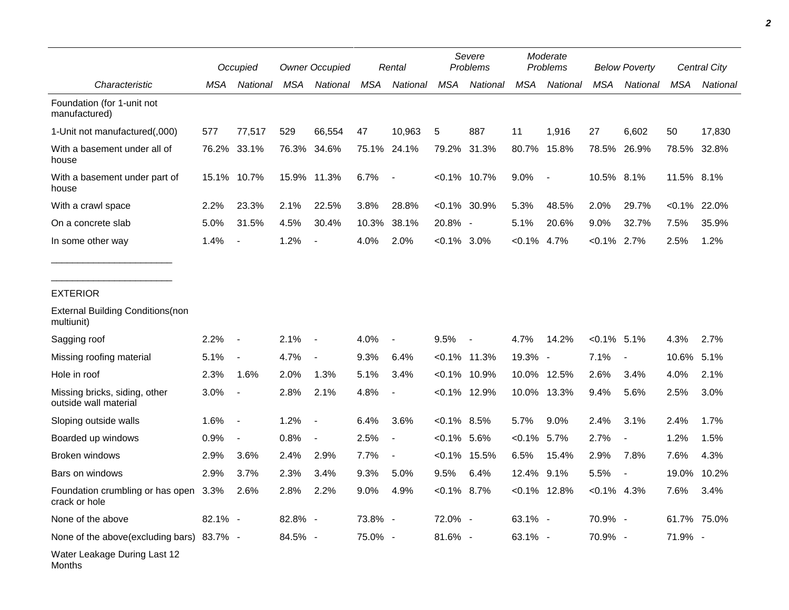|                                                             | Occupied |                          | <b>Owner Occupied</b> |                          | Rental     |                          | Severe<br>Problems |                          | Moderate<br>Problems |                 | <b>Below Poverty</b> |                          | Central City |          |
|-------------------------------------------------------------|----------|--------------------------|-----------------------|--------------------------|------------|--------------------------|--------------------|--------------------------|----------------------|-----------------|----------------------|--------------------------|--------------|----------|
| Characteristic                                              | MSA      | National                 | <b>MSA</b>            | National                 | <b>MSA</b> | <b>National</b>          | <b>MSA</b>         | National                 | <b>MSA</b>           | National        | <b>MSA</b>           | National                 | <b>MSA</b>   | National |
| Foundation (for 1-unit not<br>manufactured)                 |          |                          |                       |                          |            |                          |                    |                          |                      |                 |                      |                          |              |          |
| 1-Unit not manufactured(,000)                               | 577      | 77,517                   | 529                   | 66,554                   | 47         | 10,963                   | 5                  | 887                      | 11                   | 1,916           | 27                   | 6,602                    | 50           | 17,830   |
| With a basement under all of<br>house                       | 76.2%    | 33.1%                    |                       | 76.3% 34.6%              |            | 75.1% 24.1%              | 79.2%              | 31.3%                    | 80.7%                | 15.8%           | 78.5%                | 26.9%                    | 78.5%        | 32.8%    |
| With a basement under part of<br>house                      |          | 15.1% 10.7%              |                       | 15.9% 11.3%              | 6.7%       | $\overline{\phantom{a}}$ |                    | $< 0.1\%$ 10.7%          | 9.0%                 | $\sim$          | 10.5% 8.1%           |                          | 11.5% 8.1%   |          |
| With a crawl space                                          | 2.2%     | 23.3%                    | 2.1%                  | 22.5%                    | 3.8%       | 28.8%                    | $< 0.1\%$          | 30.9%                    | 5.3%                 | 48.5%           | 2.0%                 | 29.7%                    | $< 0.1\%$    | 22.0%    |
| On a concrete slab                                          | 5.0%     | 31.5%                    | 4.5%                  | 30.4%                    | 10.3%      | 38.1%                    | 20.8% -            |                          | 5.1%                 | 20.6%           | 9.0%                 | 32.7%                    | 7.5%         | 35.9%    |
| In some other way                                           | 1.4%     | $\overline{\phantom{a}}$ | 1.2%                  | $\overline{\phantom{a}}$ | 4.0%       | 2.0%                     | $<0.1\%$ 3.0%      |                          | $< 0.1\%$            | 4.7%            | $< 0.1\%$            | 2.7%                     | 2.5%         | 1.2%     |
| <b>EXTERIOR</b>                                             |          |                          |                       |                          |            |                          |                    |                          |                      |                 |                      |                          |              |          |
| <b>External Building Conditions (non</b><br>multiunit)      |          |                          |                       |                          |            |                          |                    |                          |                      |                 |                      |                          |              |          |
| Sagging roof                                                | 2.2%     | $\overline{\phantom{a}}$ | 2.1%                  | $\overline{\phantom{a}}$ | 4.0%       |                          | 9.5%               | $\overline{\phantom{a}}$ | 4.7%                 | 14.2%           | $< 0.1\%$ 5.1%       |                          | 4.3%         | 2.7%     |
| Missing roofing material                                    | 5.1%     | $\blacksquare$           | 4.7%                  | $\overline{\phantom{a}}$ | 9.3%       | 6.4%                     |                    | $< 0.1\%$ 11.3%          | 19.3% -              |                 | 7.1%                 | $\overline{\phantom{a}}$ | 10.6%        | 5.1%     |
| Hole in roof                                                | 2.3%     | 1.6%                     | 2.0%                  | 1.3%                     | 5.1%       | 3.4%                     |                    | $< 0.1\%$ 10.9%          |                      | 10.0% 12.5%     | 2.6%                 | 3.4%                     | 4.0%         | 2.1%     |
| Missing bricks, siding, other<br>outside wall material      | 3.0%     | $\blacksquare$           | 2.8%                  | 2.1%                     | 4.8%       |                          |                    | $< 0.1\%$ 12.9%          |                      | 10.0% 13.3%     | 9.4%                 | 5.6%                     | 2.5%         | 3.0%     |
| Sloping outside walls                                       | 1.6%     | $\overline{\phantom{a}}$ | 1.2%                  | $\blacksquare$           | 6.4%       | 3.6%                     | $<0.1\%$ 8.5%      |                          | 5.7%                 | 9.0%            | 2.4%                 | 3.1%                     | 2.4%         | 1.7%     |
| Boarded up windows                                          | 0.9%     | $\blacksquare$           | 0.8%                  | $\overline{\phantom{a}}$ | 2.5%       | $\overline{\phantom{a}}$ | $< 0.1\%$          | 5.6%                     | $<0.1\%$             | 5.7%            | 2.7%                 | $\overline{\phantom{a}}$ | 1.2%         | 1.5%     |
| Broken windows                                              | 2.9%     | 3.6%                     | 2.4%                  | 2.9%                     | 7.7%       | $\blacksquare$           | $< 0.1\%$          | 15.5%                    | 6.5%                 | 15.4%           | 2.9%                 | 7.8%                     | 7.6%         | 4.3%     |
| Bars on windows                                             | 2.9%     | 3.7%                     | 2.3%                  | 3.4%                     | 9.3%       | 5.0%                     | 9.5%               | 6.4%                     | 12.4%                | 9.1%            | 5.5%                 |                          | 19.0%        | 10.2%    |
| Foundation crumbling or has open 3.3% 2.6%<br>crack or hole |          |                          | 2.8% 2.2%             |                          | $9.0\%$    | 4.9%                     | $< 0.1\%$ 8.7%     |                          |                      | $< 0.1\%$ 12.8% | $< 0.1\%$ 4.3%       |                          | 7.6%         | 3.4%     |
| None of the above                                           | 82.1% -  |                          | 82.8% -               |                          | 73.8% -    |                          | 72.0% -            |                          | 63.1% -              |                 | 70.9% -              |                          | 61.7% 75.0%  |          |
| None of the above(excluding bars) 83.7% -                   |          |                          | 84.5% -               |                          | 75.0% -    |                          | 81.6% -            |                          | 63.1% -              |                 | 70.9% -              |                          | 71.9% -      |          |
| Water Leakage During Last 12<br>Months                      |          |                          |                       |                          |            |                          |                    |                          |                      |                 |                      |                          |              |          |

*2*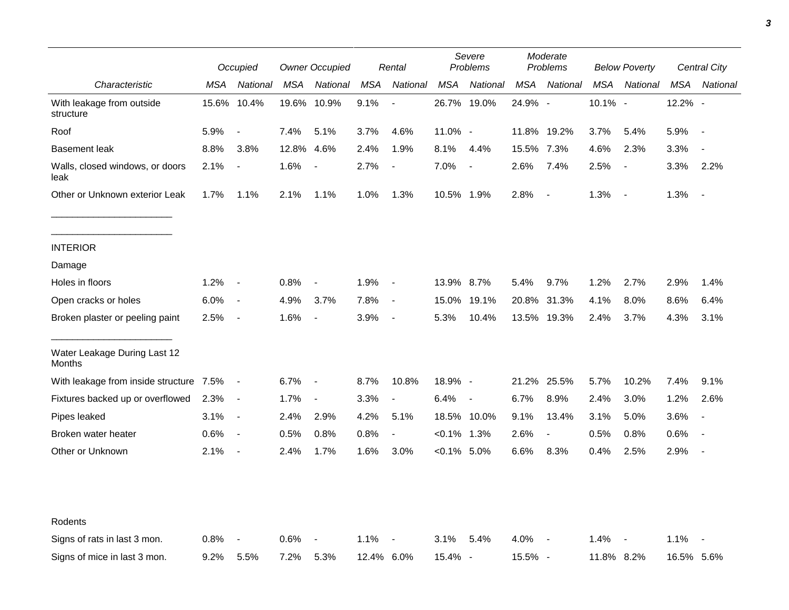|                                         |       | Occupied                 |            | <b>Owner Occupied</b>    |            | Rental                   |                | Severe<br>Problems       |             | Moderate<br>Problems     |            | <b>Below Poverty</b>     |            | Central City             |
|-----------------------------------------|-------|--------------------------|------------|--------------------------|------------|--------------------------|----------------|--------------------------|-------------|--------------------------|------------|--------------------------|------------|--------------------------|
| Characteristic                          | MSA   | National                 | <b>MSA</b> | National                 | <b>MSA</b> | National                 | <b>MSA</b>     | National                 | MSA         | National                 | <b>MSA</b> | National                 | <b>MSA</b> | National                 |
| With leakage from outside<br>structure  | 15.6% | 10.4%                    |            | 19.6% 10.9%              | 9.1%       | $\overline{\phantom{a}}$ |                | 26.7% 19.0%              | 24.9% -     |                          | 10.1% -    |                          | 12.2% -    |                          |
| Roof                                    | 5.9%  | $\blacksquare$           | 7.4%       | 5.1%                     | 3.7%       | 4.6%                     | 11.0% -        |                          |             | 11.8% 19.2%              | 3.7%       | 5.4%                     | 5.9%       | $\overline{\phantom{a}}$ |
| <b>Basement leak</b>                    | 8.8%  | 3.8%                     | 12.8%      | 4.6%                     | 2.4%       | 1.9%                     | 8.1%           | 4.4%                     | 15.5% 7.3%  |                          | 4.6%       | 2.3%                     | 3.3%       | $\blacksquare$           |
| Walls, closed windows, or doors<br>leak | 2.1%  | $\blacksquare$           | 1.6%       | $\overline{\phantom{a}}$ | 2.7%       | $\overline{\phantom{a}}$ | 7.0%           | $\overline{\phantom{a}}$ | 2.6%        | 7.4%                     | 2.5%       | $\overline{\phantom{a}}$ | 3.3%       | 2.2%                     |
| Other or Unknown exterior Leak          | 1.7%  | 1.1%                     | 2.1%       | 1.1%                     | 1.0%       | 1.3%                     | 10.5% 1.9%     |                          | 2.8%        | $\overline{\phantom{a}}$ | 1.3%       | $\sim$                   | 1.3%       | $\blacksquare$           |
| <b>INTERIOR</b>                         |       |                          |            |                          |            |                          |                |                          |             |                          |            |                          |            |                          |
| Damage                                  |       |                          |            |                          |            |                          |                |                          |             |                          |            |                          |            |                          |
| Holes in floors                         | 1.2%  | $\overline{\phantom{a}}$ | 0.8%       | $\overline{\phantom{a}}$ | 1.9%       | $\blacksquare$           | 13.9% 8.7%     |                          | 5.4%        | 9.7%                     | 1.2%       | 2.7%                     | 2.9%       | 1.4%                     |
| Open cracks or holes                    | 6.0%  | $\sim$                   | 4.9%       | 3.7%                     | 7.8%       | $\blacksquare$           | 15.0%          | 19.1%                    | 20.8%       | 31.3%                    | 4.1%       | 8.0%                     | 8.6%       | 6.4%                     |
| Broken plaster or peeling paint         | 2.5%  | $\sim$                   | 1.6%       | $\overline{\phantom{a}}$ | 3.9%       | $\overline{\phantom{a}}$ | 5.3%           | 10.4%                    |             | 13.5% 19.3%              | 2.4%       | 3.7%                     | 4.3%       | 3.1%                     |
| Water Leakage During Last 12<br>Months  |       |                          |            |                          |            |                          |                |                          |             |                          |            |                          |            |                          |
| With leakage from inside structure 7.5% |       | $\blacksquare$           | 6.7%       | $\overline{\phantom{a}}$ | 8.7%       | 10.8%                    | 18.9% -        |                          | 21.2% 25.5% |                          | 5.7%       | 10.2%                    | 7.4%       | 9.1%                     |
| Fixtures backed up or overflowed        | 2.3%  | $\sim$                   | 1.7%       | $\overline{\phantom{a}}$ | 3.3%       | $\overline{\phantom{a}}$ | 6.4%           | $\sim$                   | 6.7%        | 8.9%                     | 2.4%       | 3.0%                     | 1.2%       | 2.6%                     |
| Pipes leaked                            | 3.1%  | $\sim$                   | 2.4%       | 2.9%                     | 4.2%       | 5.1%                     |                | 18.5% 10.0%              | 9.1%        | 13.4%                    | 3.1%       | 5.0%                     | 3.6%       | $\overline{\phantom{a}}$ |
| Broken water heater                     | 0.6%  | $\overline{\phantom{a}}$ | 0.5%       | 0.8%                     | 0.8%       | $\blacksquare$           | $< 0.1\%$ 1.3% |                          | 2.6%        | $\frac{1}{2}$            | 0.5%       | 0.8%                     | 0.6%       |                          |
| Other or Unknown                        | 2.1%  | $\overline{\phantom{a}}$ | 2.4%       | 1.7%                     | 1.6%       | 3.0%                     | $<0.1\%$ 5.0%  |                          | 6.6%        | 8.3%                     | 0.4%       | 2.5%                     | 2.9%       | $\overline{\phantom{a}}$ |
| Rodents                                 |       |                          |            |                          |            |                          |                |                          |             |                          |            |                          |            |                          |
| Signs of rats in last 3 mon.            | 0.8%  | $\overline{\phantom{a}}$ | 0.6%       | $\overline{\phantom{a}}$ | 1.1%       | $\overline{a}$           | 3.1%           | 5.4%                     | 4.0%        |                          | 1.4%       | $\overline{\phantom{a}}$ | 1.1%       |                          |
| Signs of mice in last 3 mon.            | 9.2%  | 5.5%                     | 7.2%       | 5.3%                     | 12.4% 6.0% |                          | 15.4% -        |                          | 15.5% -     |                          | 11.8% 8.2% |                          | 16.5% 5.6% |                          |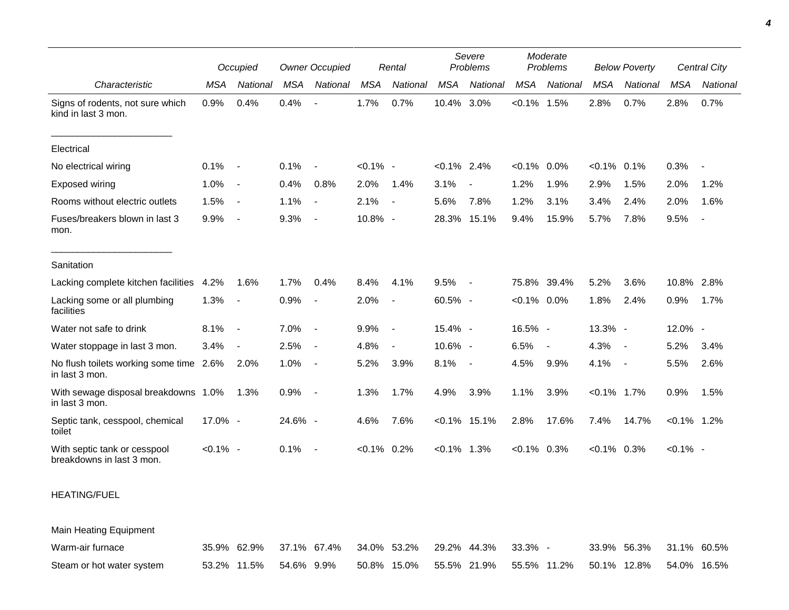|                                                           |             | Occupied                 |            | <b>Owner Occupied</b> |                | Rental                   |                | Severe<br>Problems       |                | Moderate<br>Problems     |                | <b>Below Poverty</b>     |                | Central City |  |
|-----------------------------------------------------------|-------------|--------------------------|------------|-----------------------|----------------|--------------------------|----------------|--------------------------|----------------|--------------------------|----------------|--------------------------|----------------|--------------|--|
| Characteristic                                            | <b>MSA</b>  | National                 | <b>MSA</b> | National              | <b>MSA</b>     | National                 | <b>MSA</b>     | National                 | <b>MSA</b>     | National                 | <b>MSA</b>     | National                 | MSA            | National     |  |
| Signs of rodents, not sure which<br>kind in last 3 mon.   | 0.9%        | 0.4%                     | 0.4%       |                       | 1.7%           | 0.7%                     | 10.4%          | 3.0%                     | $< 0.1\%$ 1.5% |                          | 2.8%           | 0.7%                     | 2.8%           | 0.7%         |  |
| Electrical                                                |             |                          |            |                       |                |                          |                |                          |                |                          |                |                          |                |              |  |
| No electrical wiring                                      | 0.1%        | $\overline{\phantom{a}}$ | 0.1%       |                       | $< 0.1\%$ -    |                          | $< 0.1\%$ 2.4% |                          | $< 0.1\%$ 0.0% |                          | $< 0.1\%$ 0.1% |                          | 0.3%           |              |  |
| Exposed wiring                                            | 1.0%        | $\blacksquare$           | 0.4%       | 0.8%                  | 2.0%           | 1.4%                     | 3.1%           | $\overline{\phantom{a}}$ | 1.2%           | 1.9%                     | 2.9%           | 1.5%                     | 2.0%           | 1.2%         |  |
| Rooms without electric outlets                            | 1.5%        | $\overline{\phantom{a}}$ | 1.1%       | $\sim$                | 2.1%           |                          | 5.6%           | 7.8%                     | 1.2%           | 3.1%                     | 3.4%           | 2.4%                     | 2.0%           | 1.6%         |  |
| Fuses/breakers blown in last 3<br>mon.                    | 9.9%        | $\overline{\phantom{a}}$ | 9.3%       | $\sim$                | 10.8% -        |                          | 28.3%          | 15.1%                    | 9.4%           | 15.9%                    | 5.7%           | 7.8%                     | 9.5%           | $\sim$       |  |
| Sanitation                                                |             |                          |            |                       |                |                          |                |                          |                |                          |                |                          |                |              |  |
| Lacking complete kitchen facilities                       | 4.2%        | 1.6%                     | 1.7%       | 0.4%                  | 8.4%           | 4.1%                     | 9.5%           | $\sim$                   | 75.8%          | 39.4%                    | 5.2%           | 3.6%                     | 10.8% 2.8%     |              |  |
| Lacking some or all plumbing<br>facilities                | 1.3%        | $\overline{\phantom{a}}$ | 0.9%       | $\sim$                | 2.0%           | $\blacksquare$           | 60.5% -        |                          | $< 0.1\%$ 0.0% |                          | 1.8%           | 2.4%                     | 0.9%           | 1.7%         |  |
| Water not safe to drink                                   | 8.1%        | $\overline{\phantom{a}}$ | 7.0%       | $\sim$                | 9.9%           | $\blacksquare$           | 15.4% -        |                          | 16.5% -        |                          | 13.3% -        |                          | 12.0% -        |              |  |
| Water stoppage in last 3 mon.                             | 3.4%        | $\overline{\phantom{a}}$ | 2.5%       | $\sim$                | 4.8%           | $\overline{\phantom{a}}$ | 10.6% -        |                          | 6.5%           | $\overline{\phantom{a}}$ | 4.3%           | $\overline{\phantom{a}}$ | 5.2%           | 3.4%         |  |
| No flush toilets working some time 2.6%<br>in last 3 mon. |             | 2.0%                     | 1.0%       | $\overline{a}$        | 5.2%           | 3.9%                     | 8.1%           | $\overline{\phantom{a}}$ | 4.5%           | 9.9%                     | 4.1%           | $\overline{\phantom{a}}$ | 5.5%           | 2.6%         |  |
| With sewage disposal breakdowns 1.0%<br>in last 3 mon.    |             | 1.3%                     | 0.9%       | $\sim$                | 1.3%           | 1.7%                     | 4.9%           | 3.9%                     | 1.1%           | 3.9%                     | $< 0.1\%$ 1.7% |                          | 0.9%           | 1.5%         |  |
| Septic tank, cesspool, chemical<br>toilet                 | 17.0% -     |                          | 24.6% -    |                       | 4.6%           | 7.6%                     |                | $< 0.1\%$ 15.1%          | 2.8%           | 17.6%                    | 7.4%           | 14.7%                    | $< 0.1\%$ 1.2% |              |  |
| With septic tank or cesspool<br>breakdowns in last 3 mon. | $< 0.1\%$ - |                          | 0.1%       | $\sim$ $-$            | $< 0.1\%$ 0.2% |                          | $< 0.1\%$ 1.3% |                          | $< 0.1\%$ 0.3% |                          | $< 0.1\%$ 0.3% |                          | $< 0.1\%$ -    |              |  |

## HEATING/FUEL

Main Heating Equipment

| Warm-air furnace          |                        |  |  | 35.9% 62.9% 37.1% 67.4% 34.0% 53.2% 29.2% 44.3% 33.3% -        |  | 33.9% 56.3% 31.1% 60.5% |  |
|---------------------------|------------------------|--|--|----------------------------------------------------------------|--|-------------------------|--|
| Steam or hot water system | 53.2% 11.5% 54.6% 9.9% |  |  | $50.8\%$ 15.0% 55.5% 21.9% 55.5% 11.2% 50.1% 12.8% 54.0% 16.5% |  |                         |  |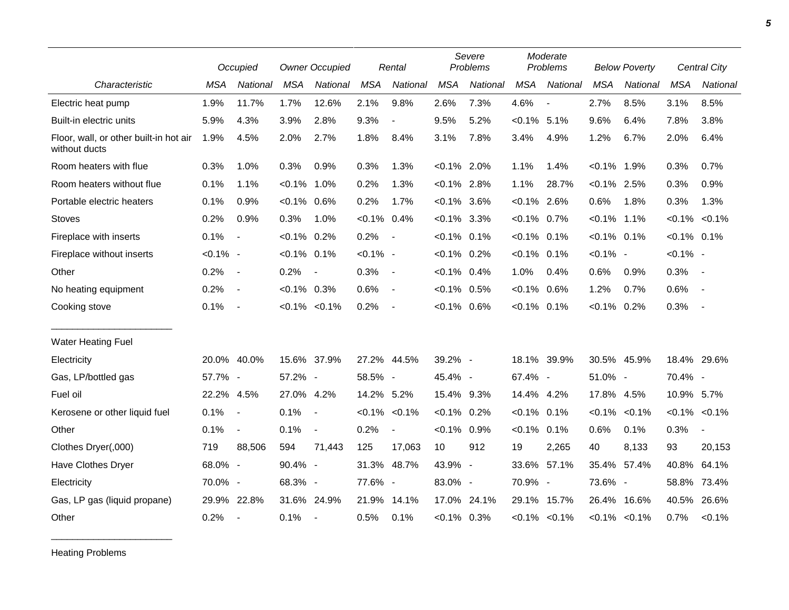|                                                         |             | Occupied                 | <b>Owner Occupied</b> |                          | Rental         |                          | Severe<br>Problems |             | Moderate<br>Problems |                          | <b>Below Poverty</b> |             | Central City   |                          |
|---------------------------------------------------------|-------------|--------------------------|-----------------------|--------------------------|----------------|--------------------------|--------------------|-------------|----------------------|--------------------------|----------------------|-------------|----------------|--------------------------|
| Characteristic                                          | <b>MSA</b>  | <b>National</b>          | <b>MSA</b>            | National                 | <b>MSA</b>     | National                 | <b>MSA</b>         | National    | <b>MSA</b>           | National                 | <b>MSA</b>           | National    | <b>MSA</b>     | <b>National</b>          |
| Electric heat pump                                      | 1.9%        | 11.7%                    | 1.7%                  | 12.6%                    | 2.1%           | 9.8%                     | 2.6%               | 7.3%        | 4.6%                 | $\overline{\phantom{a}}$ | 2.7%                 | 8.5%        | 3.1%           | 8.5%                     |
| Built-in electric units                                 | 5.9%        | 4.3%                     | 3.9%                  | 2.8%                     | 9.3%           | $\blacksquare$           | 9.5%               | 5.2%        | $< 0.1\%$            | 5.1%                     | 9.6%                 | 6.4%        | 7.8%           | 3.8%                     |
| Floor, wall, or other built-in hot air<br>without ducts | 1.9%        | 4.5%                     | 2.0%                  | 2.7%                     | 1.8%           | 8.4%                     | 3.1%               | 7.8%        | 3.4%                 | 4.9%                     | 1.2%                 | 6.7%        | 2.0%           | 6.4%                     |
| Room heaters with flue                                  | 0.3%        | 1.0%                     | 0.3%                  | 0.9%                     | 0.3%           | 1.3%                     | $< 0.1\%$ 2.0%     |             | 1.1%                 | 1.4%                     | $< 0.1\%$            | 1.9%        | 0.3%           | 0.7%                     |
| Room heaters without flue                               | 0.1%        | 1.1%                     | $< 0.1\%$             | 1.0%                     | 0.2%           | 1.3%                     | $< 0.1\%$ 2.8%     |             | 1.1%                 | 28.7%                    | $< 0.1\%$ 2.5%       |             | 0.3%           | 0.9%                     |
| Portable electric heaters                               | 0.1%        | 0.9%                     | $< 0.1\%$ 0.6%        |                          | 0.2%           | 1.7%                     | $< 0.1\%$ 3.6%     |             | $< 0.1\%$ 2.6%       |                          | 0.6%                 | 1.8%        | 0.3%           | 1.3%                     |
| <b>Stoves</b>                                           | 0.2%        | 0.9%                     | 0.3%                  | 1.0%                     | $< 0.1\%$ 0.4% |                          | $< 0.1\%$ 3.3%     |             | $< 0.1\%$ 0.7%       |                          | $< 0.1\%$            | 1.1%        |                | $< 0.1\% < 0.1\%$        |
| Fireplace with inserts                                  | 0.1%        | $\overline{\phantom{a}}$ | $< 0.1\%$             | 0.2%                     | 0.2%           | $\overline{\phantom{a}}$ | $< 0.1\%$ 0.1%     |             | $< 0.1\%$            | 0.1%                     | $< 0.1\%$ 0.1%       |             | $< 0.1\%$ 0.1% |                          |
| Fireplace without inserts                               | $< 0.1\%$ - |                          | $< 0.1\%$ 0.1%        |                          | $< 0.1\%$ -    |                          | $< 0.1\%$ 0.2%     |             | $< 0.1\%$ 0.1%       |                          | $< 0.1\%$ -          |             | $< 0.1\%$ -    |                          |
| Other                                                   | 0.2%        | $\sim$                   | 0.2%                  | $\blacksquare$           | 0.3%           | $\blacksquare$           | $< 0.1\%$ 0.4%     |             | 1.0%                 | 0.4%                     | 0.6%                 | 0.9%        | 0.3%           | $\sim$ $-$               |
| No heating equipment                                    | 0.2%        | $\overline{\phantom{a}}$ | $< 0.1\%$ 0.3%        |                          | 0.6%           | $\overline{\phantom{a}}$ | $< 0.1\%$ 0.5%     |             | $< 0.1\%$            | 0.6%                     | 1.2%                 | 0.7%        | 0.6%           | $\sim$ $-$               |
| Cooking stove                                           | 0.1%        | $\sim$                   |                       | $< 0.1\% < 0.1\%$        | 0.2%           | $\overline{\phantom{a}}$ | $< 0.1\%$ 0.6%     |             | $< 0.1\%$ 0.1%       |                          | $< 0.1\%$ 0.2%       |             | 0.3%           | $\sim$                   |
| <b>Water Heating Fuel</b>                               |             |                          |                       |                          |                |                          |                    |             |                      |                          |                      |             |                |                          |
| Electricity                                             |             | 20.0% 40.0%              |                       | 15.6% 37.9%              |                | 27.2% 44.5%              | 39.2% -            |             |                      | 18.1% 39.9%              | 30.5% 45.9%          |             |                | 18.4% 29.6%              |
| Gas, LP/bottled gas                                     | 57.7% -     |                          | 57.2% -               |                          | 58.5% -        |                          | 45.4% -            |             | 67.4% -              |                          | 51.0% -              |             | 70.4% -        |                          |
| Fuel oil                                                | 22.2% 4.5%  |                          | 27.0% 4.2%            |                          | 14.2% 5.2%     |                          | 15.4% 9.3%         |             | 14.4% 4.2%           |                          | 17.8% 4.5%           |             | 10.9% 5.7%     |                          |
| Kerosene or other liquid fuel                           | 0.1%        | $\sim$                   | 0.1%                  | $\overline{a}$           |                | $< 0.1\%$ $< 0.1\%$      | $< 0.1\%$ 0.2%     |             | $< 0.1\%$ 0.1%       |                          | $< 0.1\%$            | $< 0.1\%$   |                | $< 0.1\%$ $< 0.1\%$      |
| Other                                                   | 0.1%        | $\blacksquare$           | 0.1%                  | $\blacksquare$           | 0.2%           | $\blacksquare$           | $< 0.1\%$ 0.9%     |             | $< 0.1\%$            | 0.1%                     | 0.6%                 | 0.1%        | 0.3%           | $\overline{\phantom{a}}$ |
| Clothes Dryer(,000)                                     | 719         | 88,506                   | 594                   | 71,443                   | 125            | 17,063                   | 10 <sup>°</sup>    | 912         | 19                   | 2,265                    | 40                   | 8,133       | 93             | 20,153                   |
| Have Clothes Dryer                                      | 68.0% -     |                          | 90.4% -               |                          |                | 31.3% 48.7%              | 43.9% -            |             | 33.6%                | 57.1%                    |                      | 35.4% 57.4% | 40.8%          | 64.1%                    |
| Electricity                                             | 70.0% -     |                          | 68.3% -               |                          | 77.6% -        |                          | 83.0% -            |             | 70.9% -              |                          | 73.6% -              |             | 58.8%          | 73.4%                    |
| Gas, LP gas (liquid propane)                            |             | 29.9% 22.8%              |                       | 31.6% 24.9%              |                | 21.9% 14.1%              |                    | 17.0% 24.1% |                      | 29.1% 15.7%              | 26.4%                | 16.6%       | 40.5%          | 26.6%                    |
| Other                                                   | 0.2%        | $\overline{\phantom{a}}$ | 0.1%                  | $\overline{\phantom{a}}$ | 0.5%           | 0.1%                     | $< 0.1\%$ 0.3%     |             |                      | $< 0.1\% < 0.1\%$        | $< 0.1\%$            | $< 0.1\%$   | 0.7%           | $< 0.1\%$                |

Heating Problems

\_\_\_\_\_\_\_\_\_\_\_\_\_\_\_\_\_\_\_\_\_\_\_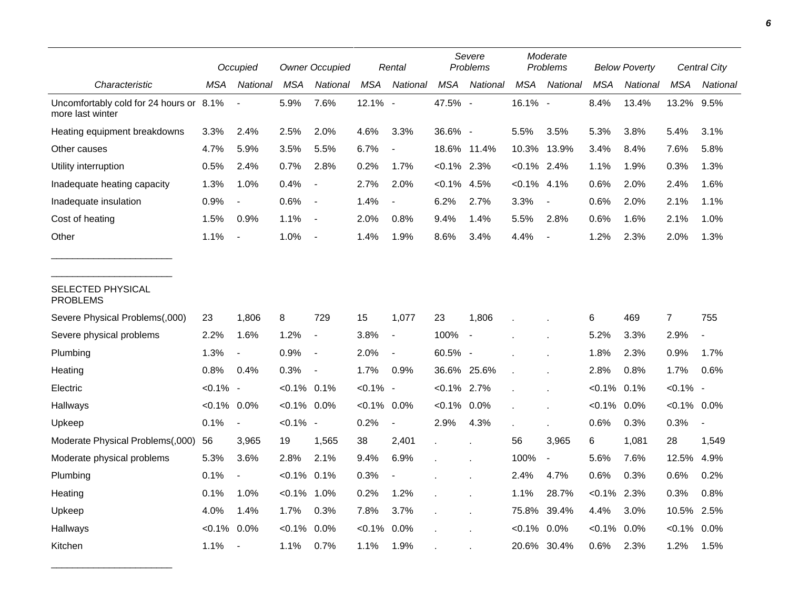|                                                             |                | Occupied                 |                | <b>Owner Occupied</b>    |             | Rental                   |                | Severe<br>Problems       |                | Moderate<br>Problems     |            | <b>Below Poverty</b> |                | Central City   |
|-------------------------------------------------------------|----------------|--------------------------|----------------|--------------------------|-------------|--------------------------|----------------|--------------------------|----------------|--------------------------|------------|----------------------|----------------|----------------|
| Characteristic                                              | MSA            | National                 | <b>MSA</b>     | National                 | <b>MSA</b>  | National                 | <b>MSA</b>     | National                 | <b>MSA</b>     | National                 | <b>MSA</b> | National             | <b>MSA</b>     | National       |
| Uncomfortably cold for 24 hours or 8.1%<br>more last winter |                |                          | 5.9%           | 7.6%                     | 12.1% -     |                          | 47.5% -        |                          | 16.1% -        |                          | 8.4%       | 13.4%                | 13.2% 9.5%     |                |
| Heating equipment breakdowns                                | 3.3%           | 2.4%                     | 2.5%           | 2.0%                     | 4.6%        | 3.3%                     | 36.6% -        |                          | 5.5%           | 3.5%                     | 5.3%       | 3.8%                 | 5.4%           | 3.1%           |
| Other causes                                                | 4.7%           | 5.9%                     | 3.5%           | 5.5%                     | 6.7%        | $\overline{\phantom{a}}$ |                | 18.6% 11.4%              | 10.3%          | 13.9%                    | 3.4%       | 8.4%                 | 7.6%           | 5.8%           |
| Utility interruption                                        | 0.5%           | 2.4%                     | 0.7%           | 2.8%                     | 0.2%        | 1.7%                     | $< 0.1\%$ 2.3% |                          | $< 0.1\%$ 2.4% |                          | 1.1%       | 1.9%                 | 0.3%           | 1.3%           |
| Inadequate heating capacity                                 | 1.3%           | 1.0%                     | 0.4%           | $\overline{\phantom{a}}$ | 2.7%        | 2.0%                     | $< 0.1\%$ 4.5% |                          | $< 0.1\%$      | 4.1%                     | 0.6%       | 2.0%                 | 2.4%           | 1.6%           |
| Inadequate insulation                                       | 0.9%           | $\overline{\phantom{a}}$ | 0.6%           | $\overline{\phantom{a}}$ | 1.4%        | $\overline{\phantom{a}}$ | 6.2%           | 2.7%                     | 3.3%           | $\blacksquare$           | 0.6%       | 2.0%                 | 2.1%           | 1.1%           |
| Cost of heating                                             | 1.5%           | 0.9%                     | 1.1%           | $\blacksquare$           | 2.0%        | 0.8%                     | 9.4%           | 1.4%                     | 5.5%           | 2.8%                     | 0.6%       | 1.6%                 | 2.1%           | 1.0%           |
| Other                                                       | 1.1%           | $\overline{\phantom{a}}$ | 1.0%           |                          | 1.4%        | 1.9%                     | 8.6%           | 3.4%                     | 4.4%           |                          | 1.2%       | 2.3%                 | 2.0%           | 1.3%           |
| SELECTED PHYSICAL<br><b>PROBLEMS</b>                        |                |                          |                |                          |             |                          |                |                          |                |                          |            |                      |                |                |
| Severe Physical Problems(,000)                              | 23             | 1,806                    | 8              | 729                      | 15          | 1,077                    | 23             | 1,806                    |                |                          | 6          | 469                  | $\overline{7}$ | 755            |
| Severe physical problems                                    | 2.2%           | 1.6%                     | 1.2%           | $\overline{\phantom{a}}$ | 3.8%        | $\overline{\phantom{a}}$ | 100%           | $\overline{\phantom{a}}$ |                |                          | 5.2%       | 3.3%                 | 2.9%           | $\overline{a}$ |
| Plumbing                                                    | 1.3%           | $\blacksquare$           | 0.9%           | $\overline{\phantom{a}}$ | 2.0%        | $\blacksquare$           | 60.5% -        |                          |                |                          | 1.8%       | 2.3%                 | 0.9%           | 1.7%           |
| Heating                                                     | 0.8%           | 0.4%                     | 0.3%           | $\overline{\phantom{a}}$ | 1.7%        | 0.9%                     |                | 36.6% 25.6%              |                |                          | 2.8%       | 0.8%                 | 1.7%           | 0.6%           |
| Electric                                                    | $< 0.1\%$ -    |                          | $< 0.1\%$ 0.1% |                          | $< 0.1\%$ - |                          | $< 0.1\%$ 2.7% |                          |                |                          | $< 0.1\%$  | 0.1%                 | $< 0.1\%$ -    |                |
| Hallways                                                    | $< 0.1\%$ 0.0% |                          | $< 0.1\%$ 0.0% |                          | $< 0.1\%$   | 0.0%                     | $< 0.1\%$ 0.0% |                          |                |                          | $< 0.1\%$  | 0.0%                 | $< 0.1\%$ 0.0% |                |
| Upkeep                                                      | 0.1%           | $\overline{\phantom{a}}$ | $< 0.1\%$ -    |                          | 0.2%        | $\blacksquare$           | 2.9%           | 4.3%                     |                |                          | 0.6%       | 0.3%                 | 0.3%           |                |
| Moderate Physical Problems(,000)                            | 56             | 3,965                    | 19             | 1,565                    | 38          | 2,401                    |                |                          | 56             | 3,965                    | 6          | 1,081                | 28             | 1,549          |
| Moderate physical problems                                  | 5.3%           | 3.6%                     | 2.8%           | 2.1%                     | 9.4%        | 6.9%                     |                |                          | 100%           | $\overline{\phantom{a}}$ | 5.6%       | 7.6%                 | 12.5%          | 4.9%           |
| Plumbing                                                    | 0.1%           | $\overline{\phantom{a}}$ | $<0.1\%$ 0.1%  |                          | 0.3%        |                          |                |                          | 2.4%           | 4.7%                     | 0.6%       | 0.3%                 | 0.6%           | 0.2%           |
| Heating                                                     | 0.1%           | 1.0%                     | $< 0.1\%$ 1.0% |                          | 0.2%        | 1.2%                     |                |                          | 1.1%           | 28.7%                    | $< 0.1\%$  | 2.3%                 | 0.3%           | 0.8%           |
| Upkeep                                                      | 4.0%           | 1.4%                     | 1.7%           | 0.3%                     | 7.8%        | 3.7%                     |                |                          | 75.8%          | 39.4%                    | 4.4%       | 3.0%                 | 10.5%          | 2.5%           |
| Hallways                                                    | $< 0.1\%$      | 0.0%                     | $< 0.1\%$      | 0.0%                     | $< 0.1\%$   | 0.0%                     |                |                          | $< 0.1\%$      | 0.0%                     | $<0.1\%$   | 0.0%                 | $< 0.1\%$      | 0.0%           |
| Kitchen                                                     | 1.1%           | $\blacksquare$           | 1.1%           | 0.7%                     | 1.1%        | 1.9%                     |                |                          | 20.6%          | 30.4%                    | 0.6%       | 2.3%                 | 1.2%           | 1.5%           |

\_\_\_\_\_\_\_\_\_\_\_\_\_\_\_\_\_\_\_\_\_\_\_